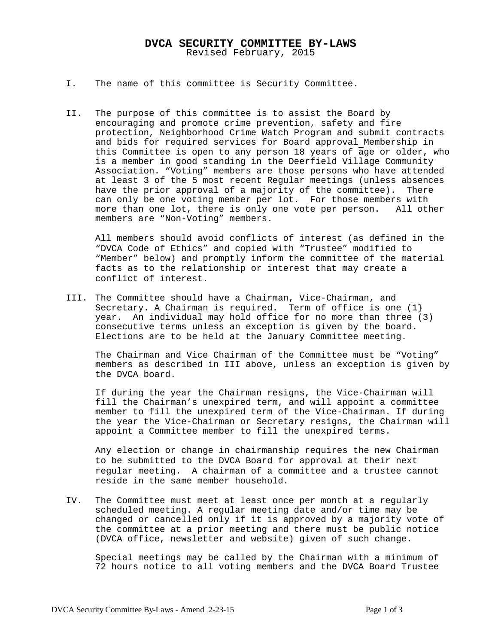## **DVCA SECURITY COMMITTEE BY-LAWS** Revised February, 2015

- I. The name of this committee is Security Committee.
- II. The purpose of this committee is to assist the Board by encouraging and promote crime prevention, safety and fire protection, Neighborhood Crime Watch Program and submit contracts and bids for required services for Board approval Membership in this Committee is open to any person 18 years of age or older, who is a member in good standing in the Deerfield Village Community Association. "Voting" members are those persons who have attended at least 3 of the 5 most recent Regular meetings (unless absences have the prior approval of a majority of the committee). There can only be one voting member per lot. For those members with more than one lot, there is only one vote per person. All other members are "Non-Voting" members.

All members should avoid conflicts of interest (as defined in the "DVCA Code of Ethics" and copied with "Trustee" modified to "Member" below) and promptly inform the committee of the material facts as to the relationship or interest that may create a conflict of interest.

III. The Committee should have a Chairman, Vice-Chairman, and Secretary. A Chairman is required. Term of office is one  $(1)$ year. An individual may hold office for no more than three (3) consecutive terms unless an exception is given by the board. Elections are to be held at the January Committee meeting.

The Chairman and Vice Chairman of the Committee must be "Voting" members as described in III above, unless an exception is given by the DVCA board.

If during the year the Chairman resigns, the Vice-Chairman will fill the Chairman's unexpired term, and will appoint a committee member to fill the unexpired term of the Vice-Chairman. If during the year the Vice-Chairman or Secretary resigns, the Chairman will appoint a Committee member to fill the unexpired terms.

Any election or change in chairmanship requires the new Chairman to be submitted to the DVCA Board for approval at their next regular meeting. A chairman of a committee and a trustee cannot reside in the same member household.

IV. The Committee must meet at least once per month at a regularly scheduled meeting. A regular meeting date and/or time may be changed or cancelled only if it is approved by a majority vote of the committee at a prior meeting and there must be public notice (DVCA office, newsletter and website) given of such change.

Special meetings may be called by the Chairman with a minimum of 72 hours notice to all voting members and the DVCA Board Trustee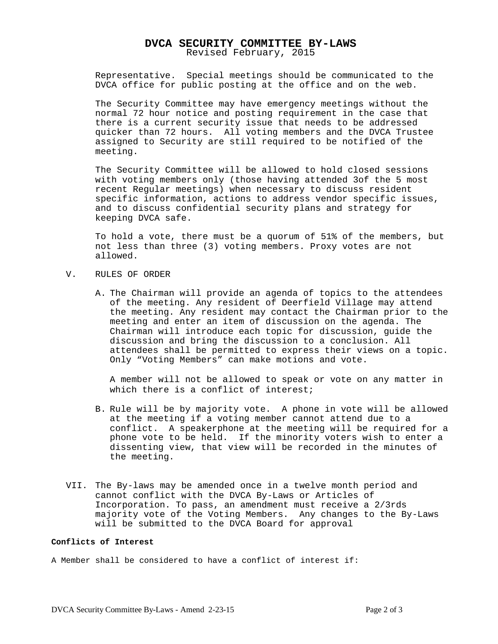## **DVCA SECURITY COMMITTEE BY-LAWS** Revised February, 2015

Representative. Special meetings should be communicated to the DVCA office for public posting at the office and on the web.

The Security Committee may have emergency meetings without the normal 72 hour notice and posting requirement in the case that there is a current security issue that needs to be addressed quicker than 72 hours. All voting members and the DVCA Trustee assigned to Security are still required to be notified of the meeting.

The Security Committee will be allowed to hold closed sessions with voting members only (those having attended 3of the 5 most recent Regular meetings) when necessary to discuss resident specific information, actions to address vendor specific issues, and to discuss confidential security plans and strategy for keeping DVCA safe.

To hold a vote, there must be a quorum of 51% of the members, but not less than three (3) voting members. Proxy votes are not allowed.

- V. RULES OF ORDER
	- A. The Chairman will provide an agenda of topics to the attendees of the meeting. Any resident of Deerfield Village may attend the meeting. Any resident may contact the Chairman prior to the meeting and enter an item of discussion on the agenda. The Chairman will introduce each topic for discussion, guide the discussion and bring the discussion to a conclusion. All attendees shall be permitted to express their views on a topic. Only "Voting Members" can make motions and vote.

A member will not be allowed to speak or vote on any matter in which there is a conflict of interest;

- B. Rule will be by majority vote. A phone in vote will be allowed at the meeting if a voting member cannot attend due to a conflict. A speakerphone at the meeting will be required for a phone vote to be held. If the minority voters wish to enter a dissenting view, that view will be recorded in the minutes of the meeting.
- VII. The By-laws may be amended once in a twelve month period and cannot conflict with the DVCA By-Laws or Articles of Incorporation. To pass, an amendment must receive a 2/3rds majority vote of the Voting Members. Any changes to the By-Laws will be submitted to the DVCA Board for approval

## **Conflicts of Interest**

A Member shall be considered to have a conflict of interest if: